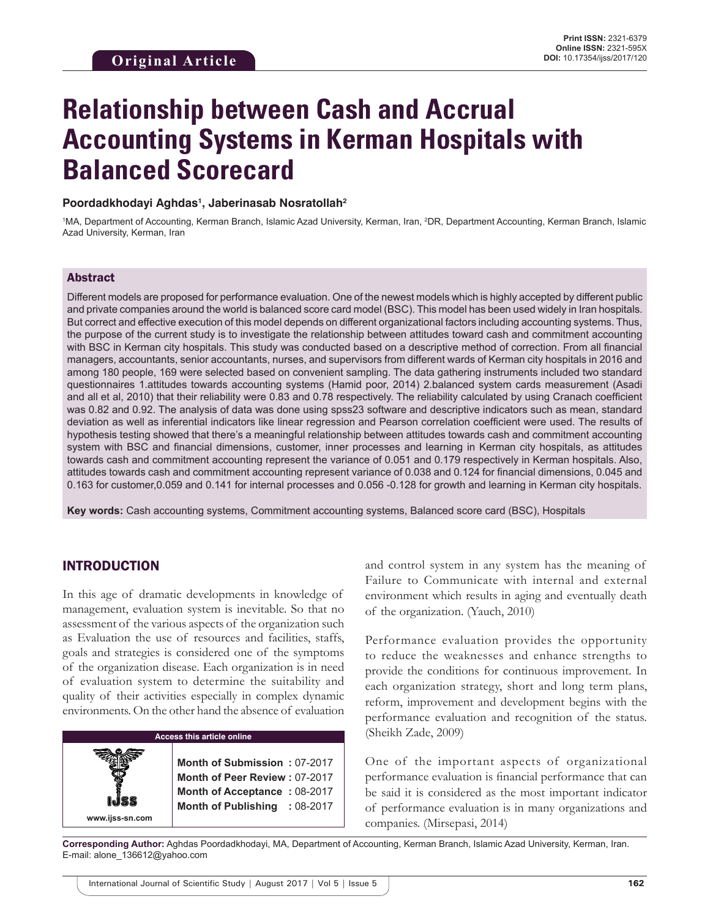# **Relationship between Cash and Accrual Accounting Systems in Kerman Hospitals with Balanced Scorecard**

#### **Poordadkhodayi Aghdas1 , Jaberinasab Nosratollah2**

<sup>1</sup>MA, Department of Accounting, Kerman Branch, Islamic Azad University, Kerman, Iran, <sup>2</sup>DR, Department Accounting, Kerman Branch, Islamic Azad University, Kerman, Iran

## Abstract

Different models are proposed for performance evaluation. One of the newest models which is highly accepted by different public and private companies around the world is balanced score card model (BSC). This model has been used widely in Iran hospitals. But correct and effective execution of this model depends on different organizational factors including accounting systems. Thus, the purpose of the current study is to investigate the relationship between attitudes toward cash and commitment accounting with BSC in Kerman city hospitals. This study was conducted based on a descriptive method of correction. From all financial managers, accountants, senior accountants, nurses, and supervisors from different wards of Kerman city hospitals in 2016 and among 180 people, 169 were selected based on convenient sampling. The data gathering instruments included two standard questionnaires 1.attitudes towards accounting systems (Hamid poor, 2014) 2.balanced system cards measurement (Asadi and all et al, 2010) that their reliability were 0.83 and 0.78 respectively. The reliability calculated by using Cranach coefficient was 0.82 and 0.92. The analysis of data was done using spss23 software and descriptive indicators such as mean, standard deviation as well as inferential indicators like linear regression and Pearson correlation coefficient were used. The results of hypothesis testing showed that there's a meaningful relationship between attitudes towards cash and commitment accounting system with BSC and financial dimensions, customer, inner processes and learning in Kerman city hospitals, as attitudes towards cash and commitment accounting represent the variance of 0.051 and 0.179 respectively in Kerman hospitals. Also, attitudes towards cash and commitment accounting represent variance of 0.038 and 0.124 for financial dimensions, 0.045 and 0.163 for customer,0.059 and 0.141 for internal processes and 0.056 -0.128 for growth and learning in Kerman city hospitals.

**Key words:** Cash accounting systems, Commitment accounting systems, Balanced score card (BSC), Hospitals

## INTRODUCTION

**www.ijss-sn.com**

In this age of dramatic developments in knowledge of management, evaluation system is inevitable. So that no assessment of the various aspects of the organization such as Evaluation the use of resources and facilities, staffs, goals and strategies is considered one of the symptoms of the organization disease. Each organization is in need of evaluation system to determine the suitability and quality of their activities especially in complex dynamic environments. On the other hand the absence of evaluation

#### **Access this article online**

**Month of Submission :** 07-2017 **Month of Peer Review :** 07-2017 **Month of Acceptance :** 08-2017 **Month of Publishing :** 08-2017 and control system in any system has the meaning of Failure to Communicate with internal and external environment which results in aging and eventually death of the organization. (Yauch, 2010)

Performance evaluation provides the opportunity to reduce the weaknesses and enhance strengths to provide the conditions for continuous improvement. In each organization strategy, short and long term plans, reform, improvement and development begins with the performance evaluation and recognition of the status. (Sheikh Zade, 2009)

One of the important aspects of organizational performance evaluation is financial performance that can be said it is considered as the most important indicator of performance evaluation is in many organizations and companies. (Mirsepasi, 2014)

**Corresponding Author:** Aghdas Poordadkhodayi, MA, Department of Accounting, Kerman Branch, Islamic Azad University, Kerman, Iran. E-mail: alone\_136612@yahoo.com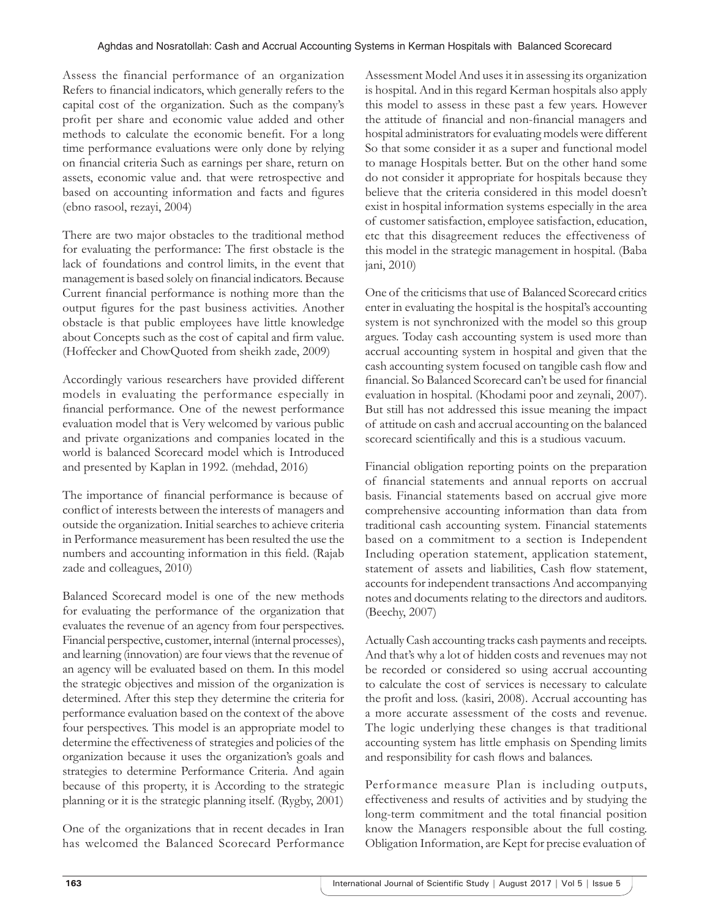Assess the financial performance of an organization Refers to financial indicators, which generally refers to the capital cost of the organization. Such as the company's profit per share and economic value added and other methods to calculate the economic benefit. For a long time performance evaluations were only done by relying on financial criteria Such as earnings per share, return on assets, economic value and. that were retrospective and based on accounting information and facts and figures (ebno rasool, rezayi, 2004)

There are two major obstacles to the traditional method for evaluating the performance: The first obstacle is the lack of foundations and control limits, in the event that management is based solely on financial indicators. Because Current financial performance is nothing more than the output figures for the past business activities. Another obstacle is that public employees have little knowledge about Concepts such as the cost of capital and firm value. (Hoffecker and ChowQuoted from sheikh zade, 2009)

Accordingly various researchers have provided different models in evaluating the performance especially in financial performance. One of the newest performance evaluation model that is Very welcomed by various public and private organizations and companies located in the world is balanced Scorecard model which is Introduced and presented by Kaplan in 1992. (mehdad, 2016)

The importance of financial performance is because of conflict of interests between the interests of managers and outside the organization. Initial searches to achieve criteria in Performance measurement has been resulted the use the numbers and accounting information in this field. (Rajab zade and colleagues, 2010)

Balanced Scorecard model is one of the new methods for evaluating the performance of the organization that evaluates the revenue of an agency from four perspectives. Financial perspective, customer, internal (internal processes), and learning (innovation) are four views that the revenue of an agency will be evaluated based on them. In this model the strategic objectives and mission of the organization is determined. After this step they determine the criteria for performance evaluation based on the context of the above four perspectives. This model is an appropriate model to determine the effectiveness of strategies and policies of the organization because it uses the organization's goals and strategies to determine Performance Criteria. And again because of this property, it is According to the strategic planning or it is the strategic planning itself. (Rygby, 2001)

One of the organizations that in recent decades in Iran has welcomed the Balanced Scorecard Performance Assessment Model And uses it in assessing its organization is hospital. And in this regard Kerman hospitals also apply this model to assess in these past a few years. However the attitude of financial and non-financial managers and hospital administrators for evaluating models were different So that some consider it as a super and functional model to manage Hospitals better. But on the other hand some do not consider it appropriate for hospitals because they believe that the criteria considered in this model doesn't exist in hospital information systems especially in the area of customer satisfaction, employee satisfaction, education, etc that this disagreement reduces the effectiveness of this model in the strategic management in hospital. (Baba jani, 2010)

One of the criticisms that use of Balanced Scorecard critics enter in evaluating the hospital is the hospital's accounting system is not synchronized with the model so this group argues. Today cash accounting system is used more than accrual accounting system in hospital and given that the cash accounting system focused on tangible cash flow and financial. So Balanced Scorecard can't be used for financial evaluation in hospital. (Khodami poor and zeynali, 2007). But still has not addressed this issue meaning the impact of attitude on cash and accrual accounting on the balanced scorecard scientifically and this is a studious vacuum.

Financial obligation reporting points on the preparation of financial statements and annual reports on accrual basis. Financial statements based on accrual give more comprehensive accounting information than data from traditional cash accounting system. Financial statements based on a commitment to a section is Independent Including operation statement, application statement, statement of assets and liabilities, Cash flow statement, accounts for independent transactions And accompanying notes and documents relating to the directors and auditors. (Beechy, 2007)

Actually Cash accounting tracks cash payments and receipts. And that's why a lot of hidden costs and revenues may not be recorded or considered so using accrual accounting to calculate the cost of services is necessary to calculate the profit and loss. (kasiri, 2008). Accrual accounting has a more accurate assessment of the costs and revenue. The logic underlying these changes is that traditional accounting system has little emphasis on Spending limits and responsibility for cash flows and balances.

Performance measure Plan is including outputs, effectiveness and results of activities and by studying the long-term commitment and the total financial position know the Managers responsible about the full costing. Obligation Information, are Kept for precise evaluation of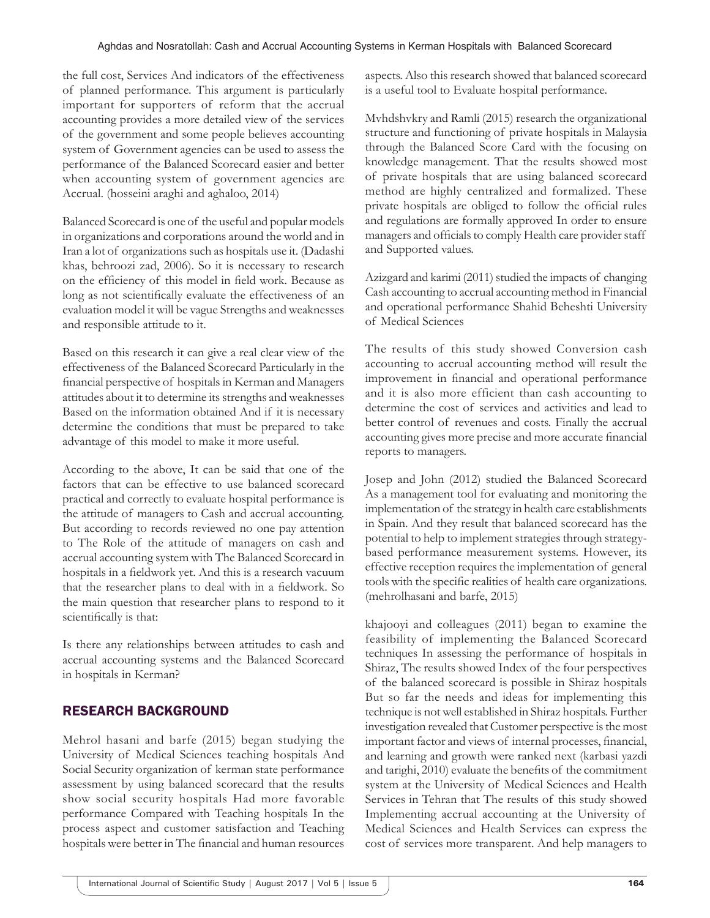the full cost, Services And indicators of the effectiveness of planned performance. This argument is particularly important for supporters of reform that the accrual accounting provides a more detailed view of the services of the government and some people believes accounting system of Government agencies can be used to assess the performance of the Balanced Scorecard easier and better when accounting system of government agencies are Accrual. (hosseini araghi and aghaloo, 2014)

Balanced Scorecard is one of the useful and popular models in organizations and corporations around the world and in Iran a lot of organizations such as hospitals use it. (Dadashi khas, behroozi zad, 2006). So it is necessary to research on the efficiency of this model in field work. Because as long as not scientifically evaluate the effectiveness of an evaluation model it will be vague Strengths and weaknesses and responsible attitude to it.

Based on this research it can give a real clear view of the effectiveness of the Balanced Scorecard Particularly in the financial perspective of hospitals in Kerman and Managers attitudes about it to determine its strengths and weaknesses Based on the information obtained And if it is necessary determine the conditions that must be prepared to take advantage of this model to make it more useful.

According to the above, It can be said that one of the factors that can be effective to use balanced scorecard practical and correctly to evaluate hospital performance is the attitude of managers to Cash and accrual accounting. But according to records reviewed no one pay attention to The Role of the attitude of managers on cash and accrual accounting system with The Balanced Scorecard in hospitals in a fieldwork yet. And this is a research vacuum that the researcher plans to deal with in a fieldwork. So the main question that researcher plans to respond to it scientifically is that:

Is there any relationships between attitudes to cash and accrual accounting systems and the Balanced Scorecard in hospitals in Kerman?

# RESEARCH BACKGROUND

Mehrol hasani and barfe (2015) began studying the University of Medical Sciences teaching hospitals And Social Security organization of kerman state performance assessment by using balanced scorecard that the results show social security hospitals Had more favorable performance Compared with Teaching hospitals In the process aspect and customer satisfaction and Teaching hospitals were better in The financial and human resources

aspects. Also this research showed that balanced scorecard is a useful tool to Evaluate hospital performance.

Mvhdshvkry and Ramli (2015) research the organizational structure and functioning of private hospitals in Malaysia through the Balanced Score Card with the focusing on knowledge management. That the results showed most of private hospitals that are using balanced scorecard method are highly centralized and formalized. These private hospitals are obliged to follow the official rules and regulations are formally approved In order to ensure managers and officials to comply Health care provider staff and Supported values.

Azizgard and karimi (2011) studied the impacts of changing Cash accounting to accrual accounting method in Financial and operational performance Shahid Beheshti University of Medical Sciences

The results of this study showed Conversion cash accounting to accrual accounting method will result the improvement in financial and operational performance and it is also more efficient than cash accounting to determine the cost of services and activities and lead to better control of revenues and costs. Finally the accrual accounting gives more precise and more accurate financial reports to managers.

Josep and John (2012) studied the Balanced Scorecard As a management tool for evaluating and monitoring the implementation of the strategy in health care establishments in Spain. And they result that balanced scorecard has the potential to help to implement strategies through strategybased performance measurement systems. However, its effective reception requires the implementation of general tools with the specific realities of health care organizations. (mehrolhasani and barfe, 2015)

khajooyi and colleagues (2011) began to examine the feasibility of implementing the Balanced Scorecard techniques In assessing the performance of hospitals in Shiraz, The results showed Index of the four perspectives of the balanced scorecard is possible in Shiraz hospitals But so far the needs and ideas for implementing this technique is not well established in Shiraz hospitals. Further investigation revealed that Customer perspective is the most important factor and views of internal processes, financial, and learning and growth were ranked next (karbasi yazdi and tarighi, 2010) evaluate the benefits of the commitment system at the University of Medical Sciences and Health Services in Tehran that The results of this study showed Implementing accrual accounting at the University of Medical Sciences and Health Services can express the cost of services more transparent. And help managers to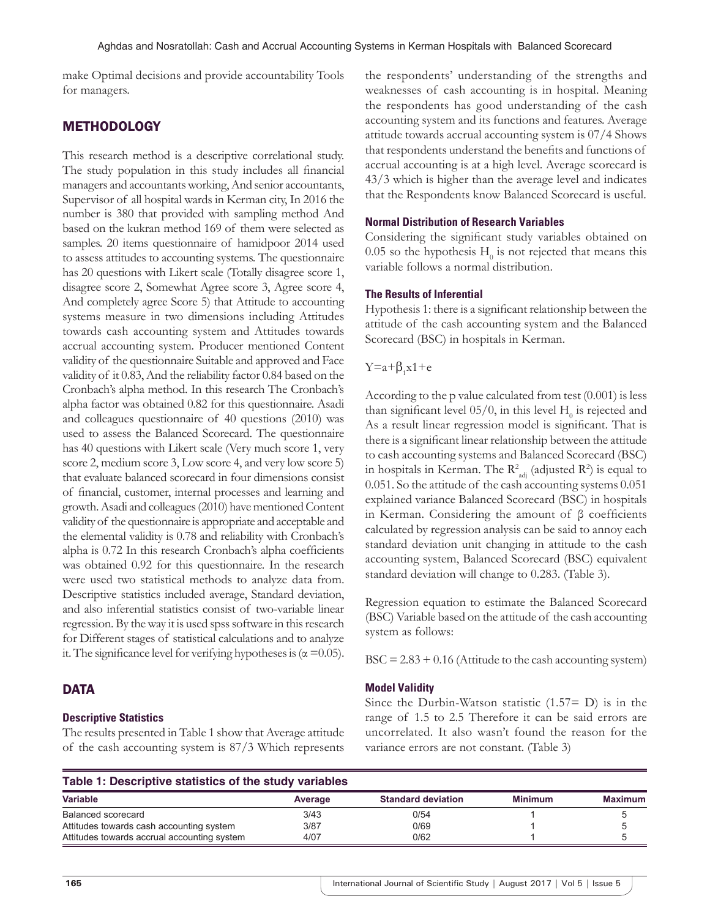make Optimal decisions and provide accountability Tools for managers.

## METHODOLOGY

This research method is a descriptive correlational study. The study population in this study includes all financial managers and accountants working, And senior accountants, Supervisor of all hospital wards in Kerman city, In 2016 the number is 380 that provided with sampling method And based on the kukran method 169 of them were selected as samples. 20 items questionnaire of hamidpoor 2014 used to assess attitudes to accounting systems. The questionnaire has 20 questions with Likert scale (Totally disagree score 1, disagree score 2, Somewhat Agree score 3, Agree score 4, And completely agree Score 5) that Attitude to accounting systems measure in two dimensions including Attitudes towards cash accounting system and Attitudes towards accrual accounting system. Producer mentioned Content validity of the questionnaire Suitable and approved and Face validity of it 0.83, And the reliability factor 0.84 based on the Cronbach's alpha method. In this research The Cronbach's alpha factor was obtained 0.82 for this questionnaire. Asadi and colleagues questionnaire of 40 questions (2010) was used to assess the Balanced Scorecard. The questionnaire has 40 questions with Likert scale (Very much score 1, very score 2, medium score 3, Low score 4, and very low score 5) that evaluate balanced scorecard in four dimensions consist of financial, customer, internal processes and learning and growth. Asadi and colleagues (2010) have mentioned Content validity of the questionnaire is appropriate and acceptable and the elemental validity is 0.78 and reliability with Cronbach's alpha is 0.72 In this research Cronbach's alpha coefficients was obtained 0.92 for this questionnaire. In the research were used two statistical methods to analyze data from. Descriptive statistics included average, Standard deviation, and also inferential statistics consist of two-variable linear regression. By the way it is used spss software in this research for Different stages of statistical calculations and to analyze it. The significance level for verifying hypotheses is ( $\alpha$  =0.05).

## **DATA**

#### **Descriptive Statistics**

The results presented in Table 1 show that Average attitude of the cash accounting system is 87/3 Which represents the respondents' understanding of the strengths and weaknesses of cash accounting is in hospital. Meaning the respondents has good understanding of the cash accounting system and its functions and features. Average attitude towards accrual accounting system is 07/4 Shows that respondents understand the benefits and functions of accrual accounting is at a high level. Average scorecard is 43/3 which is higher than the average level and indicates that the Respondents know Balanced Scorecard is useful.

#### **Normal Distribution of Research Variables**

Considering the significant study variables obtained on 0.05 so the hypothesis  $H_0$  is not rejected that means this variable follows a normal distribution.

#### **The Results of Inferential**

Hypothesis 1: there is a significant relationship between the attitude of the cash accounting system and the Balanced Scorecard (BSC) in hospitals in Kerman.

# $Y=a+\beta_1x1+e$

According to the p value calculated from test (0.001) is less than significant level  $05/0$ , in this level  $H_0$  is rejected and As a result linear regression model is significant. That is there is a significant linear relationship between the attitude to cash accounting systems and Balanced Scorecard (BSC) in hospitals in Kerman. The  $R^2_{\text{adj}}$  (adjusted  $R^2$ ) is equal to 0.051. So the attitude of the cash accounting systems 0.051 explained variance Balanced Scorecard (BSC) in hospitals in Kerman. Considering the amount of β coefficients calculated by regression analysis can be said to annoy each standard deviation unit changing in attitude to the cash accounting system, Balanced Scorecard (BSC) equivalent standard deviation will change to 0.283. (Table 3).

Regression equation to estimate the Balanced Scorecard (BSC) Variable based on the attitude of the cash accounting system as follows:

 $BSC = 2.83 + 0.16$  (Attitude to the cash accounting system)

#### **Model Validity**

Since the Durbin-Watson statistic  $(1.57= D)$  is in the range of 1.5 to 2.5 Therefore it can be said errors are uncorrelated. It also wasn't found the reason for the variance errors are not constant. (Table 3)

| Table 1: Descriptive statistics of the study variables |         |                           |                |         |  |  |
|--------------------------------------------------------|---------|---------------------------|----------------|---------|--|--|
| <b>Variable</b>                                        | Average | <b>Standard deviation</b> | <b>Minimum</b> | Maximum |  |  |
| Balanced scorecard                                     | 3/43    | 0/54                      |                |         |  |  |
| Attitudes towards cash accounting system               | 3/87    | 0/69                      |                |         |  |  |
| Attitudes towards accrual accounting system            | 4/07    | 0/62                      |                |         |  |  |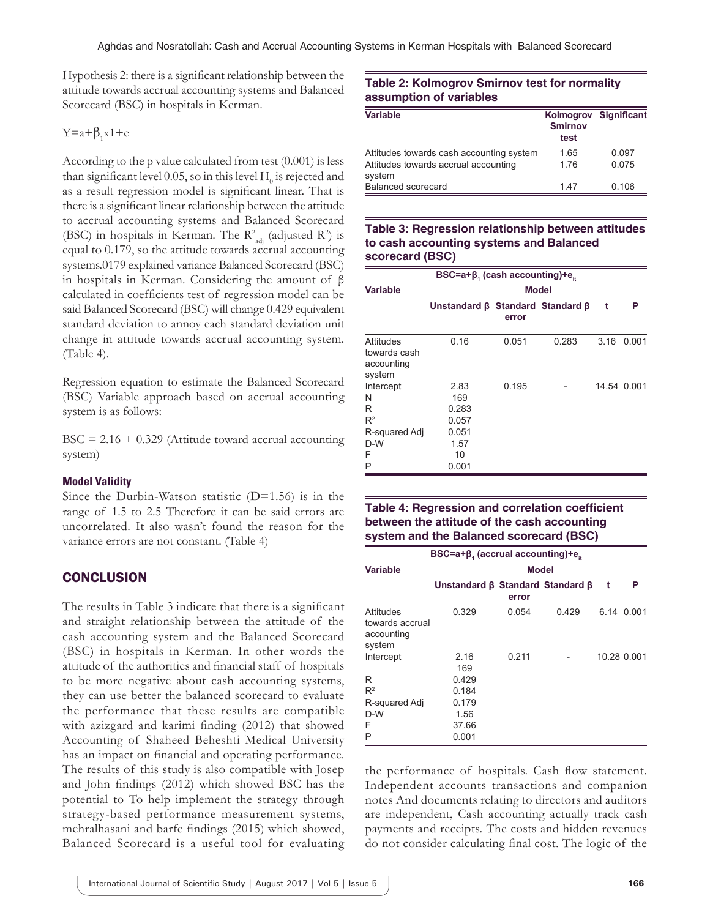Hypothesis 2: there is a significant relationship between the attitude towards accrual accounting systems and Balanced Scorecard (BSC) in hospitals in Kerman.

# $Y=a+\beta_1x1+e$

According to the p value calculated from test (0.001) is less than significant level 0.05, so in this level  $\rm H_{0}$  is rejected and as a result regression model is significant linear. That is there is a significant linear relationship between the attitude to accrual accounting systems and Balanced Scorecard (BSC) in hospitals in Kerman. The  $R^2_{adj}$  (adjusted  $R^2$ ) is equal to 0.179, so the attitude towards accrual accounting systems.0179 explained variance Balanced Scorecard (BSC) in hospitals in Kerman. Considering the amount of β calculated in coefficients test of regression model can be said Balanced Scorecard (BSC) will change 0.429 equivalent standard deviation to annoy each standard deviation unit change in attitude towards accrual accounting system. (Table 4).

Regression equation to estimate the Balanced Scorecard (BSC) Variable approach based on accrual accounting system is as follows:

 $BSC = 2.16 + 0.329$  (Attitude toward accrual accounting system)

## **Model Validity**

Since the Durbin-Watson statistic  $(D=1.56)$  is in the range of 1.5 to 2.5 Therefore it can be said errors are uncorrelated. It also wasn't found the reason for the variance errors are not constant. (Table 4)

## **CONCLUSION**

The results in Table 3 indicate that there is a significant and straight relationship between the attitude of the cash accounting system and the Balanced Scorecard (BSC) in hospitals in Kerman. In other words the attitude of the authorities and financial staff of hospitals to be more negative about cash accounting systems, they can use better the balanced scorecard to evaluate the performance that these results are compatible with azizgard and karimi finding (2012) that showed Accounting of Shaheed Beheshti Medical University has an impact on financial and operating performance. The results of this study is also compatible with Josep and John findings (2012) which showed BSC has the potential to To help implement the strategy through strategy-based performance measurement systems, mehralhasani and barfe findings (2015) which showed, Balanced Scorecard is a useful tool for evaluating

## **Table 2: Kolmogrov Smirnov test for normality assumption of variables**

| <b>Variable</b>                                | <b>Smirnov</b><br>test | Kolmogrov Significant |
|------------------------------------------------|------------------------|-----------------------|
| Attitudes towards cash accounting system       | 1.65                   | 0.097                 |
| Attitudes towards accrual accounting<br>system | 176                    | 0.075                 |
| Balanced scorecard                             | 147                    | 0.106                 |

## **Table 3: Regression relationship between attitudes to cash accounting systems and Balanced scorecard (BSC)**

| BSC=a+ $\beta_1$ (cash accounting)+ $e_{it}$         |                                                |       |       |      |             |
|------------------------------------------------------|------------------------------------------------|-------|-------|------|-------------|
| <b>Variable</b>                                      | <b>Model</b>                                   |       |       |      |             |
|                                                      | Unstandard $\beta$ Standard Standard $\beta$   | error |       | t    | P           |
|                                                      |                                                |       |       |      |             |
| Attitudes<br>towards cash<br>accounting<br>system    | 0.16                                           | 0.051 | 0.283 | 3.16 | 0.001       |
| Intercept<br>N<br>R<br>$R^2$<br>R-squared Adj<br>D-W | 2.83<br>169<br>0.283<br>0.057<br>0.051<br>1.57 | 0.195 |       |      | 14.54 0.001 |
| F<br>P                                               | 10<br>0.001                                    |       |       |      |             |

# **Table 4: Regression and correlation coefficient between the attitude of the cash accounting system and the Balanced scorecard (BSC)**

| $BSC=a+\beta$ , (accrual accounting)+e.              |                                              |       |       |   |             |  |
|------------------------------------------------------|----------------------------------------------|-------|-------|---|-------------|--|
| <b>Variable</b>                                      | Model                                        |       |       |   |             |  |
|                                                      | Unstandard $\beta$ Standard Standard $\beta$ | error |       | t | Р           |  |
| Attitudes<br>towards accrual<br>accounting<br>system | 0.329                                        | 0.054 | 0.429 |   | 6.14 0.001  |  |
| Intercept                                            | 2.16<br>169                                  | 0.211 |       |   | 10.28 0.001 |  |
| R                                                    | 0.429                                        |       |       |   |             |  |
| $R^2$                                                | 0.184                                        |       |       |   |             |  |
| R-squared Adj                                        | 0.179                                        |       |       |   |             |  |
| $D-W$                                                | 1.56                                         |       |       |   |             |  |
| F                                                    | 37.66                                        |       |       |   |             |  |
| P                                                    | 0.001                                        |       |       |   |             |  |

the performance of hospitals. Cash flow statement. Independent accounts transactions and companion notes And documents relating to directors and auditors are independent, Cash accounting actually track cash payments and receipts. The costs and hidden revenues do not consider calculating final cost. The logic of the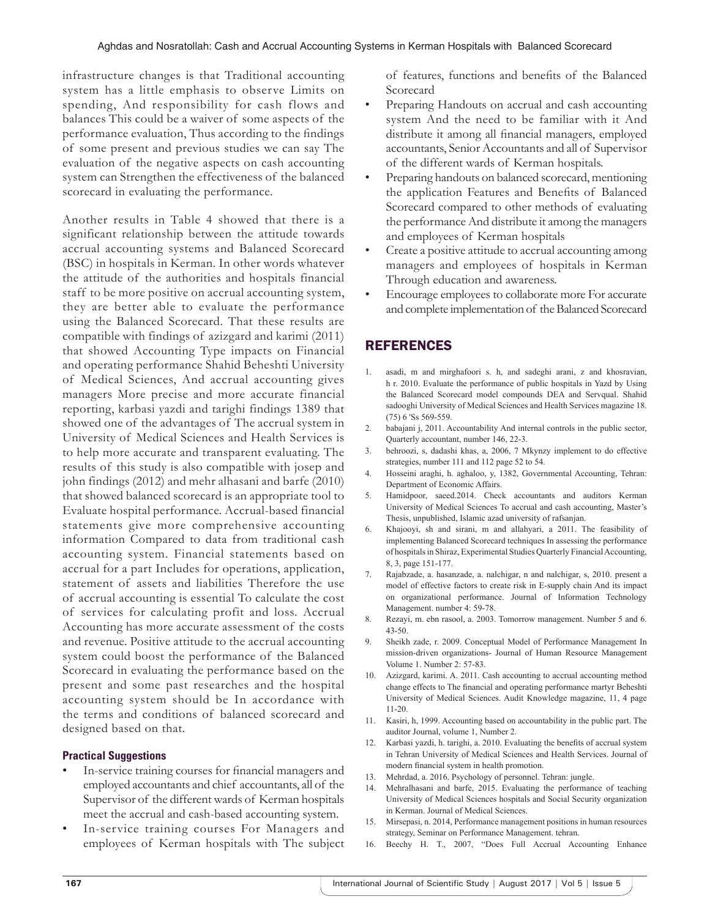infrastructure changes is that Traditional accounting system has a little emphasis to observe Limits on spending, And responsibility for cash flows and balances This could be a waiver of some aspects of the performance evaluation, Thus according to the findings of some present and previous studies we can say The evaluation of the negative aspects on cash accounting system can Strengthen the effectiveness of the balanced scorecard in evaluating the performance.

Another results in Table 4 showed that there is a significant relationship between the attitude towards accrual accounting systems and Balanced Scorecard (BSC) in hospitals in Kerman. In other words whatever the attitude of the authorities and hospitals financial staff to be more positive on accrual accounting system, they are better able to evaluate the performance using the Balanced Scorecard. That these results are compatible with findings of azizgard and karimi (2011) that showed Accounting Type impacts on Financial and operating performance Shahid Beheshti University of Medical Sciences, And accrual accounting gives managers More precise and more accurate financial reporting, karbasi yazdi and tarighi findings 1389 that showed one of the advantages of The accrual system in University of Medical Sciences and Health Services is to help more accurate and transparent evaluating. The results of this study is also compatible with josep and john findings (2012) and mehr alhasani and barfe (2010) that showed balanced scorecard is an appropriate tool to Evaluate hospital performance. Accrual-based financial statements give more comprehensive accounting information Compared to data from traditional cash accounting system. Financial statements based on accrual for a part Includes for operations, application, statement of assets and liabilities Therefore the use of accrual accounting is essential To calculate the cost of services for calculating profit and loss. Accrual Accounting has more accurate assessment of the costs and revenue. Positive attitude to the accrual accounting system could boost the performance of the Balanced Scorecard in evaluating the performance based on the present and some past researches and the hospital accounting system should be In accordance with the terms and conditions of balanced scorecard and designed based on that.

## **Practical Suggestions**

- In-service training courses for financial managers and employed accountants and chief accountants, all of the Supervisor of the different wards of Kerman hospitals meet the accrual and cash-based accounting system.
- In-service training courses For Managers and employees of Kerman hospitals with The subject

of features, functions and benefits of the Balanced Scorecard

- Preparing Handouts on accrual and cash accounting system And the need to be familiar with it And distribute it among all financial managers, employed accountants, Senior Accountants and all of Supervisor of the different wards of Kerman hospitals.
- Preparing handouts on balanced scorecard, mentioning the application Features and Benefits of Balanced Scorecard compared to other methods of evaluating the performance And distribute it among the managers and employees of Kerman hospitals
- Create a positive attitude to accrual accounting among managers and employees of hospitals in Kerman Through education and awareness.
- Encourage employees to collaborate more For accurate and complete implementation of the Balanced Scorecard

# REFERENCES

- 1. asadi, m and mirghafoori s. h, and sadeghi arani, z and khosravian, h r. 2010. Evaluate the performance of public hospitals in Yazd by Using the Balanced Scorecard model compounds DEA and Servqual. Shahid sadooghi University of Medical Sciences and Health Services magazine 18. (75) 6 'Ss 569-559.
- 2. babajani j, 2011. Accountability And internal controls in the public sector, Quarterly accountant, number 146, 22-3.
- 3. behroozi, s, dadashi khas, a, 2006, 7 Mkynzy implement to do effective strategies, number 111 and 112 page 52 to 54.
- 4. Hosseini araghi, h. aghaloo, y, 1382, Governmental Accounting, Tehran: Department of Economic Affairs.
- 5. Hamidpoor, saeed.2014. Check accountants and auditors Kerman University of Medical Sciences To accrual and cash accounting, Master's Thesis, unpublished, Islamic azad university of rafsanjan.
- 6. Khajooyi, sh and sirani, m and allahyari, a 2011. The feasibility of implementing Balanced Scorecard techniques In assessing the performance of hospitals in Shiraz, Experimental Studies Quarterly Financial Accounting, 8, 3, page 151-177.
- 7. Rajabzade, a. hasanzade, a. nalchigar, n and nalchigar, s, 2010. present a model of effective factors to create risk in E-supply chain And its impact on organizational performance. Journal of Information Technology Management. number 4: 59-78.
- 8. Rezayi, m. ebn rasool, a. 2003. Tomorrow management. Number 5 and 6. 43-50.
- 9. Sheikh zade, r. 2009. Conceptual Model of Performance Management In mission-driven organizations- Journal of Human Resource Management Volume 1. Number 2: 57-83.
- 10. Azizgard, karimi. A. 2011. Cash accounting to accrual accounting method change effects to The financial and operating performance martyr Beheshti University of Medical Sciences. Audit Knowledge magazine, 11, 4 page 11-20.
- 11. Kasiri, h, 1999. Accounting based on accountability in the public part. The auditor Journal, volume 1, Number 2.
- 12. Karbasi yazdi, h. tarighi, a. 2010. Evaluating the benefits of accrual system in Tehran University of Medical Sciences and Health Services. Journal of modern financial system in health promotion.
- 13. Mehrdad, a. 2016. Psychology of personnel. Tehran: jungle.
- 14. Mehralhasani and barfe, 2015. Evaluating the performance of teaching University of Medical Sciences hospitals and Social Security organization in Kerman. Journal of Medical Sciences.
- 15. Mirsepasi, n. 2014, Performance management positions in human resources strategy, Seminar on Performance Management. tehran.
- 16. Beechy H. T., 2007, "Does Full Accrual Accounting Enhance